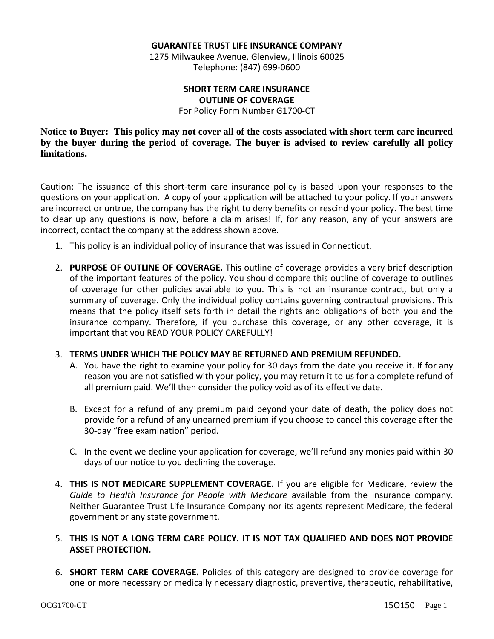#### **GUARANTEE TRUST LIFE INSURANCE COMPANY**

1275 Milwaukee Avenue, Glenview, Illinois 60025 Telephone: (847) 699-0600

#### **SHORT TERM CARE INSURANCE OUTLINE OF COVERAGE**

For Policy Form Number G1700-CT

**Notice to Buyer: This policy may not cover all of the costs associated with short term care incurred by the buyer during the period of coverage. The buyer is advised to review carefully all policy limitations.**

Caution: The issuance of this short-term care insurance policy is based upon your responses to the questions on your application. A copy of your application will be attached to your policy. If your answers are incorrect or untrue, the company has the right to deny benefits or rescind your policy. The best time to clear up any questions is now, before a claim arises! If, for any reason, any of your answers are incorrect, contact the company at the address shown above.

- 1. This policy is an individual policy of insurance that was issued in Connecticut.
- 2. **PURPOSE OF OUTLINE OF COVERAGE.** This outline of coverage provides a very brief description of the important features of the policy. You should compare this outline of coverage to outlines of coverage for other policies available to you. This is not an insurance contract, but only a summary of coverage. Only the individual policy contains governing contractual provisions. This means that the policy itself sets forth in detail the rights and obligations of both you and the insurance company. Therefore, if you purchase this coverage, or any other coverage, it is important that you READ YOUR POLICY CAREFULLY!

### 3. **TERMS UNDER WHICH THE POLICY MAY BE RETURNED AND PREMIUM REFUNDED.**

- A. You have the right to examine your policy for 30 days from the date you receive it. If for any reason you are not satisfied with your policy, you may return it to us for a complete refund of all premium paid. We'll then consider the policy void as of its effective date.
- B. Except for a refund of any premium paid beyond your date of death, the policy does not provide for a refund of any unearned premium if you choose to cancel this coverage after the 30-day "free examination" period.
- C. In the event we decline your application for coverage, we'll refund any monies paid within 30 days of our notice to you declining the coverage.
- 4. **THIS IS NOT MEDICARE SUPPLEMENT COVERAGE.** If you are eligible for Medicare, review the *Guide to Health Insurance for People with Medicare* available from the insurance company. Neither Guarantee Trust Life Insurance Company nor its agents represent Medicare, the federal government or any state government.
- 5. **THIS IS NOT A LONG TERM CARE POLICY. IT IS NOT TAX QUALIFIED AND DOES NOT PROVIDE ASSET PROTECTION.**
- 6. **SHORT TERM CARE COVERAGE.** Policies of this category are designed to provide coverage for one or more necessary or medically necessary diagnostic, preventive, therapeutic, rehabilitative,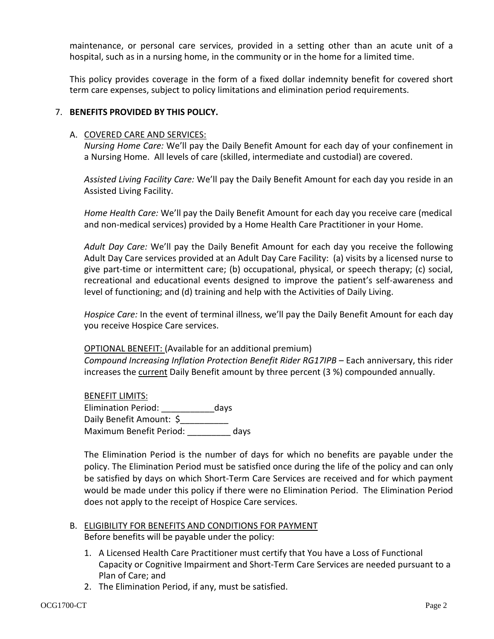maintenance, or personal care services, provided in a setting other than an acute unit of a hospital, such as in a nursing home, in the community or in the home for a limited time.

This policy provides coverage in the form of a fixed dollar indemnity benefit for covered short term care expenses, subject to policy limitations and elimination period requirements.

## 7. **BENEFITS PROVIDED BY THIS POLICY.**

### A. COVERED CARE AND SERVICES:

*Nursing Home Care:* We'll pay the Daily Benefit Amount for each day of your confinement in a Nursing Home. All levels of care (skilled, intermediate and custodial) are covered.

*Assisted Living Facility Care:* We'll pay the Daily Benefit Amount for each day you reside in an Assisted Living Facility.

*Home Health Care:* We'll pay the Daily Benefit Amount for each day you receive care (medical and non-medical services) provided by a Home Health Care Practitioner in your Home.

*Adult Day Care:* We'll pay the Daily Benefit Amount for each day you receive the following Adult Day Care services provided at an Adult Day Care Facility: (a) visits by a licensed nurse to give part-time or intermittent care; (b) occupational, physical, or speech therapy; (c) social, recreational and educational events designed to improve the patient's self-awareness and level of functioning; and (d) training and help with the Activities of Daily Living.

*Hospice Care:* In the event of terminal illness, we'll pay the Daily Benefit Amount for each day you receive Hospice Care services.

## OPTIONAL BENEFIT: (Available for an additional premium)

*Compound Increasing Inflation Protection Benefit Rider RG17IPB* – Each anniversary, this rider increases the current Daily Benefit amount by three percent (3 %) compounded annually.

BENEFIT LIMITS: Elimination Period: \_\_\_\_\_\_\_\_\_\_\_days Daily Benefit Amount: \$ Maximum Benefit Period: \_\_\_\_\_\_\_\_\_ days

The Elimination Period is the number of days for which no benefits are payable under the policy. The Elimination Period must be satisfied once during the life of the policy and can only be satisfied by days on which Short-Term Care Services are received and for which payment would be made under this policy if there were no Elimination Period. The Elimination Period does not apply to the receipt of Hospice Care services.

- B. ELIGIBILITY FOR BENEFITS AND CONDITIONS FOR PAYMENT Before benefits will be payable under the policy:
	- 1. A Licensed Health Care Practitioner must certify that You have a Loss of Functional Capacity or Cognitive Impairment and Short-Term Care Services are needed pursuant to a Plan of Care; and
	- 2. The Elimination Period, if any, must be satisfied.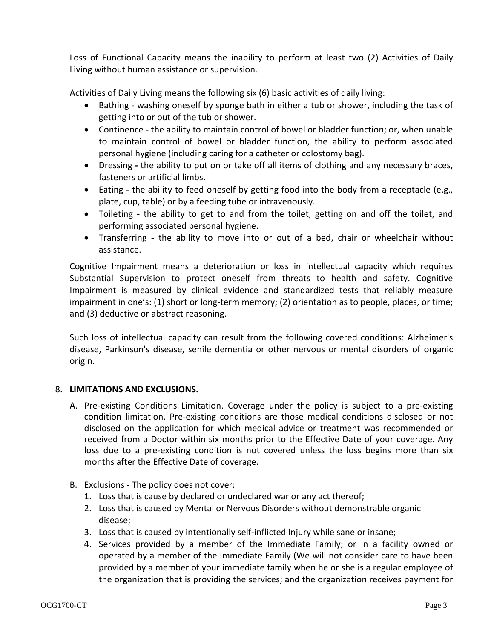Loss of Functional Capacity means the inability to perform at least two (2) Activities of Daily Living without human assistance or supervision.

Activities of Daily Living means the following six (6) basic activities of daily living:

- Bathing washing oneself by sponge bath in either a tub or shower, including the task of getting into or out of the tub or shower.
- Continence **-** the ability to maintain control of bowel or bladder function; or, when unable to maintain control of bowel or bladder function, the ability to perform associated personal hygiene (including caring for a catheter or colostomy bag).
- Dressing **-** the ability to put on or take off all items of clothing and any necessary braces, fasteners or artificial limbs.
- Eating **-** the ability to feed oneself by getting food into the body from a receptacle (e.g., plate, cup, table) or by a feeding tube or intravenously.
- Toileting **-** the ability to get to and from the toilet, getting on and off the toilet, and performing associated personal hygiene.
- Transferring **-** the ability to move into or out of a bed, chair or wheelchair without assistance.

Cognitive Impairment means a deterioration or loss in intellectual capacity which requires Substantial Supervision to protect oneself from threats to health and safety. Cognitive Impairment is measured by clinical evidence and standardized tests that reliably measure impairment in one's: (1) short or long-term memory; (2) orientation as to people, places, or time; and (3) deductive or abstract reasoning.

Such loss of intellectual capacity can result from the following covered conditions: Alzheimer's disease, Parkinson's disease, senile dementia or other nervous or mental disorders of organic origin.

# 8. **LIMITATIONS AND EXCLUSIONS.**

- A. Pre-existing Conditions Limitation. Coverage under the policy is subject to a pre-existing condition limitation. Pre-existing conditions are those medical conditions disclosed or not disclosed on the application for which medical advice or treatment was recommended or received from a Doctor within six months prior to the Effective Date of your coverage. Any loss due to a pre-existing condition is not covered unless the loss begins more than six months after the Effective Date of coverage.
- B. Exclusions The policy does not cover:
	- 1. Loss that is cause by declared or undeclared war or any act thereof;
	- 2. Loss that is caused by Mental or Nervous Disorders without demonstrable organic disease;
	- 3. Loss that is caused by intentionally self-inflicted Injury while sane or insane;
	- 4. Services provided by a member of the Immediate Family; or in a facility owned or operated by a member of the Immediate Family (We will not consider care to have been provided by a member of your immediate family when he or she is a regular employee of the organization that is providing the services; and the organization receives payment for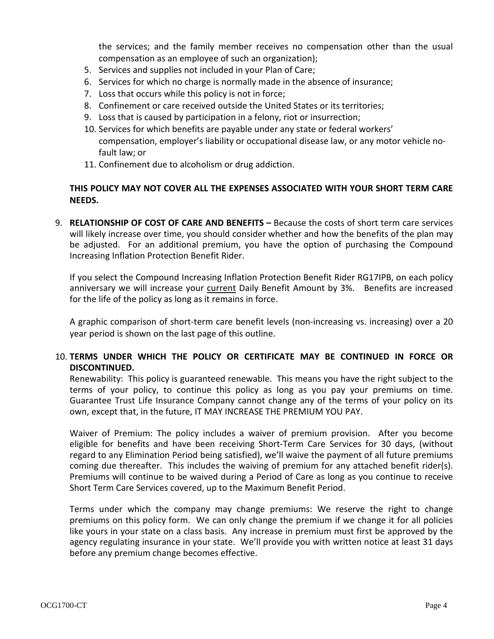the services; and the family member receives no compensation other than the usual compensation as an employee of such an organization);

- 5. Services and supplies not included in your Plan of Care;
- 6. Services for which no charge is normally made in the absence of insurance;
- 7. Loss that occurs while this policy is not in force;
- 8. Confinement or care received outside the United States or its territories;
- 9. Loss that is caused by participation in a felony, riot or insurrection;
- 10. Services for which benefits are payable under any state or federal workers' compensation, employer's liability or occupational disease law, or any motor vehicle nofault law; or
- 11. Confinement due to alcoholism or drug addiction.

# **THIS POLICY MAY NOT COVER ALL THE EXPENSES ASSOCIATED WITH YOUR SHORT TERM CARE NEEDS.**

9. **RELATIONSHIP OF COST OF CARE AND BENEFITS –** Because the costs of short term care services will likely increase over time, you should consider whether and how the benefits of the plan may be adjusted. For an additional premium, you have the option of purchasing the Compound Increasing Inflation Protection Benefit Rider.

If you select the Compound Increasing Inflation Protection Benefit Rider RG17IPB, on each policy anniversary we will increase your current Daily Benefit Amount by 3%. Benefits are increased for the life of the policy as long as it remains in force.

A graphic comparison of short-term care benefit levels (non-increasing vs. increasing) over a 20 year period is shown on the last page of this outline.

# 10. **TERMS UNDER WHICH THE POLICY OR CERTIFICATE MAY BE CONTINUED IN FORCE OR DISCONTINUED.**

Renewability: This policy is guaranteed renewable. This means you have the right subject to the terms of your policy, to continue this policy as long as you pay your premiums on time. Guarantee Trust Life Insurance Company cannot change any of the terms of your policy on its own, except that, in the future, IT MAY INCREASE THE PREMIUM YOU PAY.

Waiver of Premium: The policy includes a waiver of premium provision. After you become eligible for benefits and have been receiving Short-Term Care Services for 30 days, (without regard to any Elimination Period being satisfied), we'll waive the payment of all future premiums coming due thereafter. This includes the waiving of premium for any attached benefit rider(s). Premiums will continue to be waived during a Period of Care as long as you continue to receive Short Term Care Services covered, up to the Maximum Benefit Period.

Terms under which the company may change premiums: We reserve the right to change premiums on this policy form. We can only change the premium if we change it for all policies like yours in your state on a class basis. Any increase in premium must first be approved by the agency regulating insurance in your state. We'll provide you with written notice at least 31 days before any premium change becomes effective.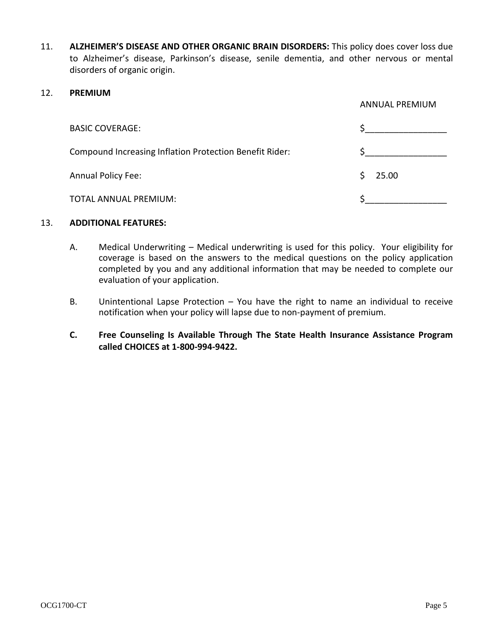11. **ALZHEIMER'S DISEASE AND OTHER ORGANIC BRAIN DISORDERS:** This policy does cover loss due to Alzheimer's disease, Parkinson's disease, senile dementia, and other nervous or mental disorders of organic origin.

### 12. **PREMIUM**

|                                                         | <b>ANNUAL PREMIUM</b> |
|---------------------------------------------------------|-----------------------|
| <b>BASIC COVERAGE:</b>                                  |                       |
| Compound Increasing Inflation Protection Benefit Rider: |                       |
| Annual Policy Fee:                                      | 25.00<br>Ŝ.           |
| TOTAL ANNUAL PREMIUM:                                   |                       |

## 13. **ADDITIONAL FEATURES:**

- A. Medical Underwriting Medical underwriting is used for this policy. Your eligibility for coverage is based on the answers to the medical questions on the policy application completed by you and any additional information that may be needed to complete our evaluation of your application.
- B. Unintentional Lapse Protection You have the right to name an individual to receive notification when your policy will lapse due to non-payment of premium.
- **C. Free Counseling Is Available Through The State Health Insurance Assistance Program called CHOICES at 1-800-994-9422.**